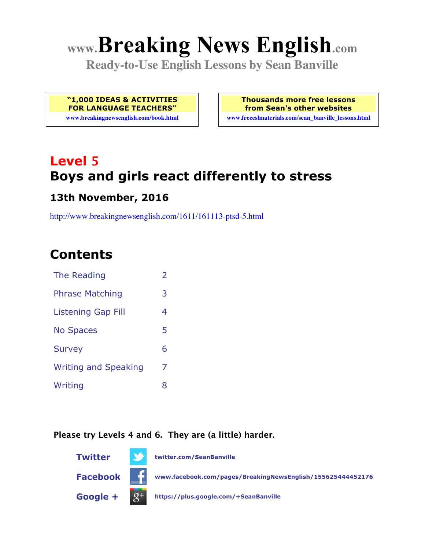# **www.Breaking News English.com**

**Ready-to-Use English Lessons by Sean Banville**

**"1,000 IDEAS & ACTIVITIES FOR LANGUAGE TEACHERS"**

**www.breakingnewsenglish.com/book.html**

**Thousands more free lessons from Sean's other websites www.freeeslmaterials.com/sean\_banville\_lessons.html**

# **Level 5 Boys and girls react differently to stress**

#### **13th November, 2016**

http://www.breakingnewsenglish.com/1611/161113-ptsd-5.html

# **Contents**

| The Reading                 | $\overline{2}$ |
|-----------------------------|----------------|
| <b>Phrase Matching</b>      | 3              |
| <b>Listening Gap Fill</b>   | 4              |
| <b>No Spaces</b>            | 5              |
| <b>Survey</b>               | 6              |
| <b>Writing and Speaking</b> | 7              |
| Writing                     | 8              |
|                             |                |

#### **Please try Levels 4 and 6. They are (a little) harder.**

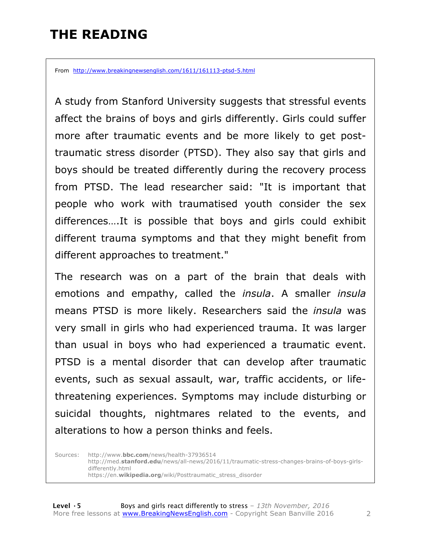# **THE READING**

From http://www.breakingnewsenglish.com/1611/161113-ptsd-5.html

A study from Stanford University suggests that stressful events affect the brains of boys and girls differently. Girls could suffer more after traumatic events and be more likely to get posttraumatic stress disorder (PTSD). They also say that girls and boys should be treated differently during the recovery process from PTSD. The lead researcher said: "It is important that people who work with traumatised youth consider the sex differences….It is possible that boys and girls could exhibit different trauma symptoms and that they might benefit from different approaches to treatment."

The research was on a part of the brain that deals with emotions and empathy, called the *insula*. A smaller *insula* means PTSD is more likely. Researchers said the *insula* was very small in girls who had experienced trauma. It was larger than usual in boys who had experienced a traumatic event. PTSD is a mental disorder that can develop after traumatic events, such as sexual assault, war, traffic accidents, or lifethreatening experiences. Symptoms may include disturbing or suicidal thoughts, nightmares related to the events, and alterations to how a person thinks and feels.

Sources: http://www.**bbc.com**/news/health-37936514 http://med.**stanford.edu**/news/all-news/2016/11/traumatic-stress-changes-brains-of-boys-girlsdifferently.html https://en.**wikipedia.org**/wiki/Posttraumatic\_stress\_disorder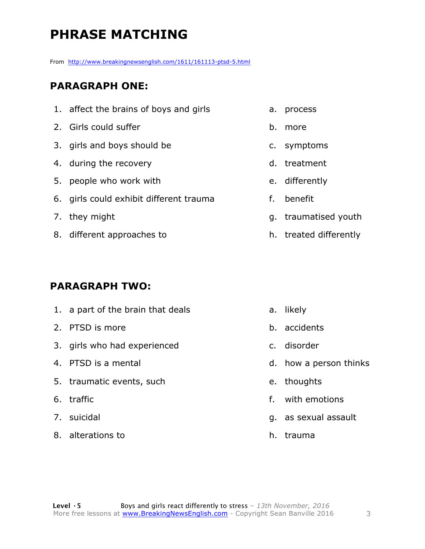# **PHRASE MATCHING**

From http://www.breakingnewsenglish.com/1611/161113-ptsd-5.html

#### **PARAGRAPH ONE:**

- 1. affect the brains of boys and girls
- 2. Girls could suffer
- 3. girls and boys should be
- 4. during the recovery
- 5. people who work with
- 6. girls could exhibit different trauma
- 7. they might
- 8. different approaches to

#### **PARAGRAPH TWO:**

1. a part of the brain that deals 2. PTSD is more 3. girls who had experienced 4. PTSD is a mental 5. traumatic events, such 6. traffic 7. suicidal 8. alterations to a. likely b. accidents c. disorder d. how a person thinks e. thoughts f. with emotions g. as sexual assault h. trauma

- a. process
- b. more
- c. symptoms
- d. treatment
- e. differently
- f. benefit
- g. traumatised youth
- h. treated differently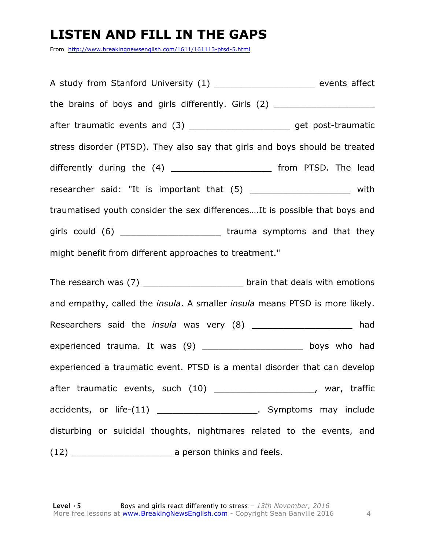### **LISTEN AND FILL IN THE GAPS**

From http://www.breakingnewsenglish.com/1611/161113-ptsd-5.html

| A study from Stanford University (1) __________________________ events affect    |  |  |  |
|----------------------------------------------------------------------------------|--|--|--|
| the brains of boys and girls differently. Girls (2) ____________________________ |  |  |  |
| after traumatic events and (3) __________________________ get post-traumatic     |  |  |  |
| stress disorder (PTSD). They also say that girls and boys should be treated      |  |  |  |
| differently during the (4) ________________________ from PTSD. The lead          |  |  |  |
| researcher said: "It is important that (5) ______________________ with           |  |  |  |
| traumatised youth consider the sex differences It is possible that boys and      |  |  |  |
| girls could (6) _________________________________trauma symptoms and that they   |  |  |  |
| might benefit from different approaches to treatment."                           |  |  |  |

The research was (7) The research was (7) and that deals with emotions and empathy, called the *insula*. A smaller *insula* means PTSD is more likely. Researchers said the *insula* was very (8) \_\_\_\_\_\_\_\_\_\_\_\_\_\_\_\_\_\_\_\_ had experienced trauma. It was (9) \_\_\_\_\_\_\_\_\_\_\_\_\_\_\_\_\_\_\_\_\_ boys who had experienced a traumatic event. PTSD is a mental disorder that can develop after traumatic events, such (10) \_\_\_\_\_\_\_\_\_\_\_\_\_\_\_\_\_\_\_\_\_, war, traffic accidents, or life-(11) \_\_\_\_\_\_\_\_\_\_\_\_\_\_\_\_\_\_\_\_\_\_. Symptoms may include disturbing or suicidal thoughts, nightmares related to the events, and (12) \_\_\_\_\_\_\_\_\_\_\_\_\_\_\_\_\_\_\_ a person thinks and feels.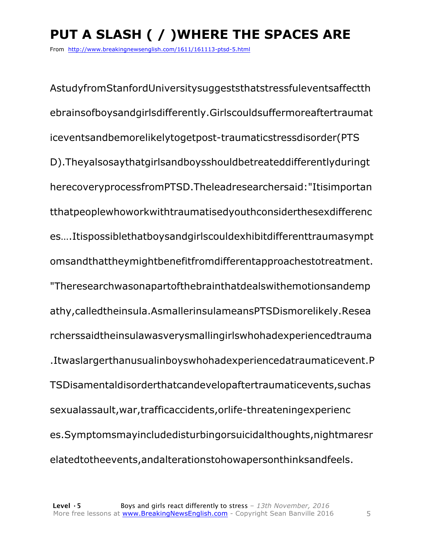# **PUT A SLASH ( / )WHERE THE SPACES ARE**

From http://www.breakingnewsenglish.com/1611/161113-ptsd-5.html

AstudyfromStanfordUniversitysuggeststhatstressfuleventsaffectth ebrainsofboysandgirlsdifferently.Girlscouldsuffermoreaftertraumat iceventsandbemorelikelytogetpost-traumaticstressdisorder(PTS D).Theyalsosaythatgirlsandboysshouldbetreateddifferentlyduringt herecoveryprocessfromPTSD.Theleadresearchersaid:"Itisimportan tthatpeoplewhoworkwithtraumatisedyouthconsiderthesexdifferenc es….Itispossiblethatboysandgirlscouldexhibitdifferenttraumasympt omsandthattheymightbenefitfromdifferentapproachestotreatment. "Theresearchwasonapartofthebrainthatdealswithemotionsandemp athy,calledtheinsula.AsmallerinsulameansPTSDismorelikely.Resea rcherssaidtheinsulawasverysmallingirlswhohadexperiencedtrauma .Itwaslargerthanusualinboyswhohadexperiencedatraumaticevent.P TSDisamentaldisorderthatcandevelopaftertraumaticevents,suchas sexualassault,war,trafficaccidents,orlife-threateningexperienc es.Symptomsmayincludedisturbingorsuicidalthoughts,nightmaresr elatedtotheevents,andalterationstohowapersonthinksandfeels.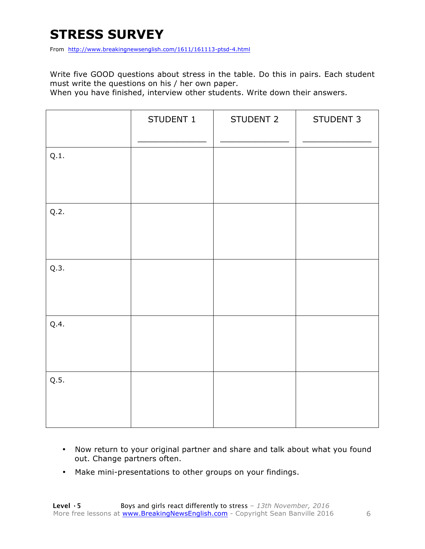# **STRESS SURVEY**

From http://www.breakingnewsenglish.com/1611/161113-ptsd-4.html

Write five GOOD questions about stress in the table. Do this in pairs. Each student must write the questions on his / her own paper.

When you have finished, interview other students. Write down their answers.

|      | STUDENT 1 | STUDENT 2 | STUDENT 3 |
|------|-----------|-----------|-----------|
| Q.1. |           |           |           |
| Q.2. |           |           |           |
| Q.3. |           |           |           |
| Q.4. |           |           |           |
| Q.5. |           |           |           |

- Now return to your original partner and share and talk about what you found out. Change partners often.
- Make mini-presentations to other groups on your findings.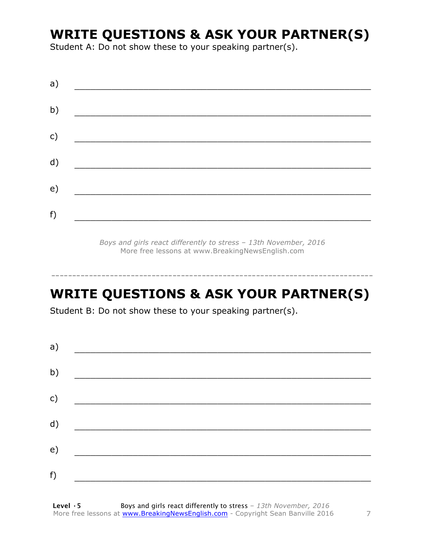## **WRITE QUESTIONS & ASK YOUR PARTNER(S)**

Student A: Do not show these to your speaking partner(s).

*Boys and girls react differently to stress – 13th November, 2016* More free lessons at www.BreakingNewsEnglish.com

# **WRITE QUESTIONS & ASK YOUR PARTNER(S)**

-----------------------------------------------------------------------------

Student B: Do not show these to your speaking partner(s).

| a) |  |  |
|----|--|--|
| b) |  |  |
| c) |  |  |
| d) |  |  |
| e) |  |  |
| f) |  |  |
|    |  |  |